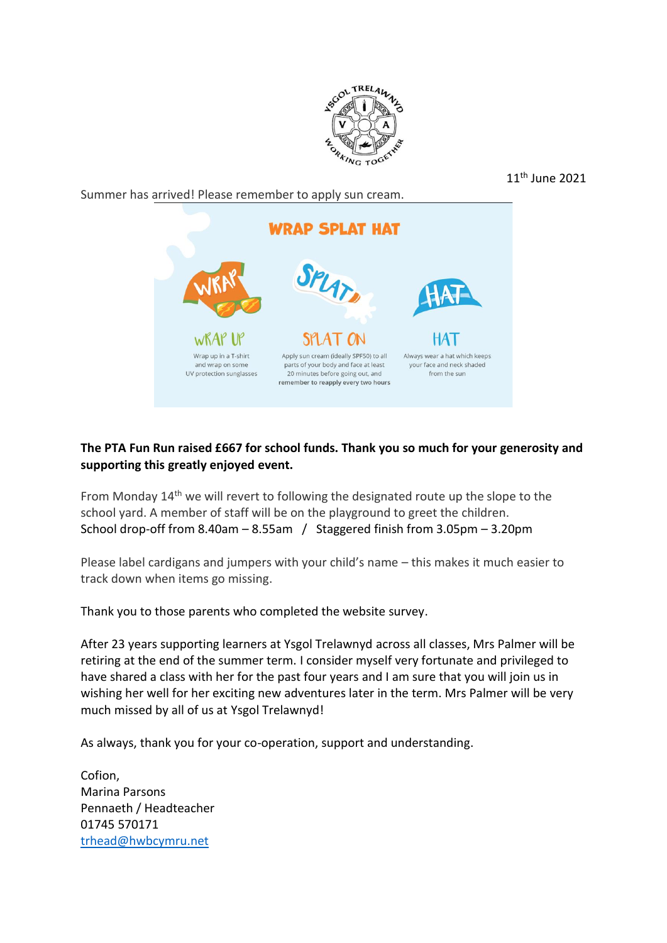

11th June 2021

Summer has arrived! Please remember to apply sun cream.

**WRAP SPLAT HAT** SPLAT WRAP IN Wrap up in a T-shirt Apply sun cream (ideally SPF50) to all Always wear a hat which keeps and wrap on some parts of your body and face at least your face and neck shaded UV protection sunglasses 20 minutes before going out, and from the sun remember to reapply every two hours

## **The PTA Fun Run raised £667 for school funds. Thank you so much for your generosity and supporting this greatly enjoyed event.**

From Monday 14<sup>th</sup> we will revert to following the designated route up the slope to the school yard. A member of staff will be on the playground to greet the children. School drop-off from 8.40am – 8.55am / Staggered finish from 3.05pm – 3.20pm

Please label cardigans and jumpers with your child's name – this makes it much easier to track down when items go missing.

Thank you to those parents who completed the website survey.

After 23 years supporting learners at Ysgol Trelawnyd across all classes, Mrs Palmer will be retiring at the end of the summer term. I consider myself very fortunate and privileged to have shared a class with her for the past four years and I am sure that you will join us in wishing her well for her exciting new adventures later in the term. Mrs Palmer will be very much missed by all of us at Ysgol Trelawnyd!

As always, thank you for your co-operation, support and understanding.

Cofion, Marina Parsons Pennaeth / Headteacher 01745 570171 [trhead@hwbcymru.net](mailto:trhead@hwbcymru.net)